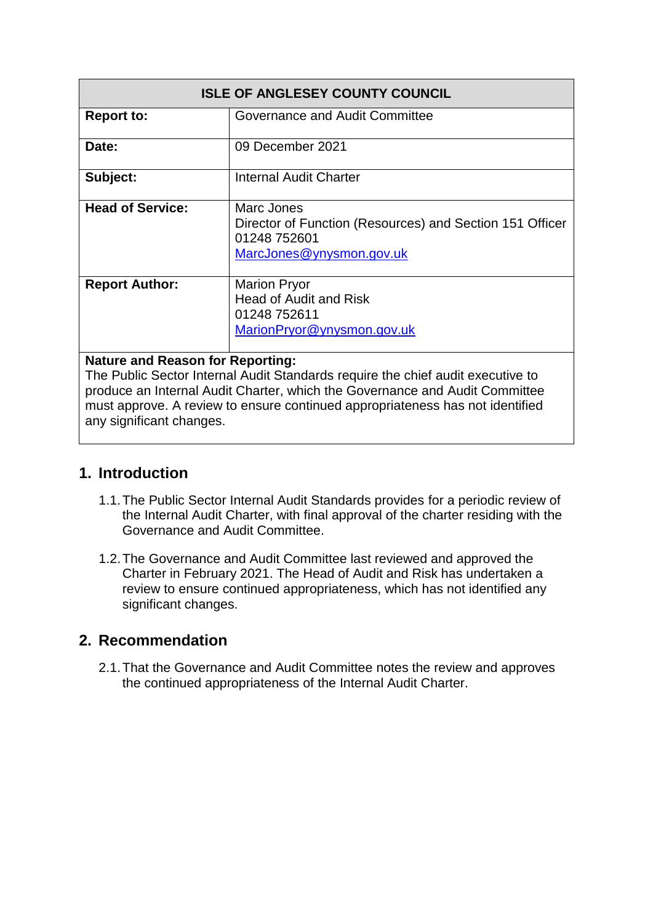| <b>ISLE OF ANGLESEY COUNTY COUNCIL</b> |                                                                                                                    |  |
|----------------------------------------|--------------------------------------------------------------------------------------------------------------------|--|
| <b>Report to:</b>                      | Governance and Audit Committee                                                                                     |  |
| Date:                                  | 09 December 2021                                                                                                   |  |
| Subject:                               | <b>Internal Audit Charter</b>                                                                                      |  |
| <b>Head of Service:</b>                | Marc Jones<br>Director of Function (Resources) and Section 151 Officer<br>01248 752601<br>MarcJones@ynysmon.gov.uk |  |
| <b>Report Author:</b>                  | <b>Marion Pryor</b><br><b>Head of Audit and Risk</b><br>01248 752611<br>MarionPryor@ynysmon.gov.uk                 |  |

#### **Nature and Reason for Reporting:**

The Public Sector Internal Audit Standards require the chief audit executive to produce an Internal Audit Charter, which the Governance and Audit Committee must approve. A review to ensure continued appropriateness has not identified any significant changes.

#### **1. Introduction**

- 1.1.The Public Sector Internal Audit Standards provides for a periodic review of the Internal Audit Charter, with final approval of the charter residing with the Governance and Audit Committee.
- 1.2.The Governance and Audit Committee last reviewed and approved the Charter in February 2021. The Head of Audit and Risk has undertaken a review to ensure continued appropriateness, which has not identified any significant changes.

#### **2. Recommendation**

2.1.That the Governance and Audit Committee notes the review and approves the continued appropriateness of the Internal Audit Charter.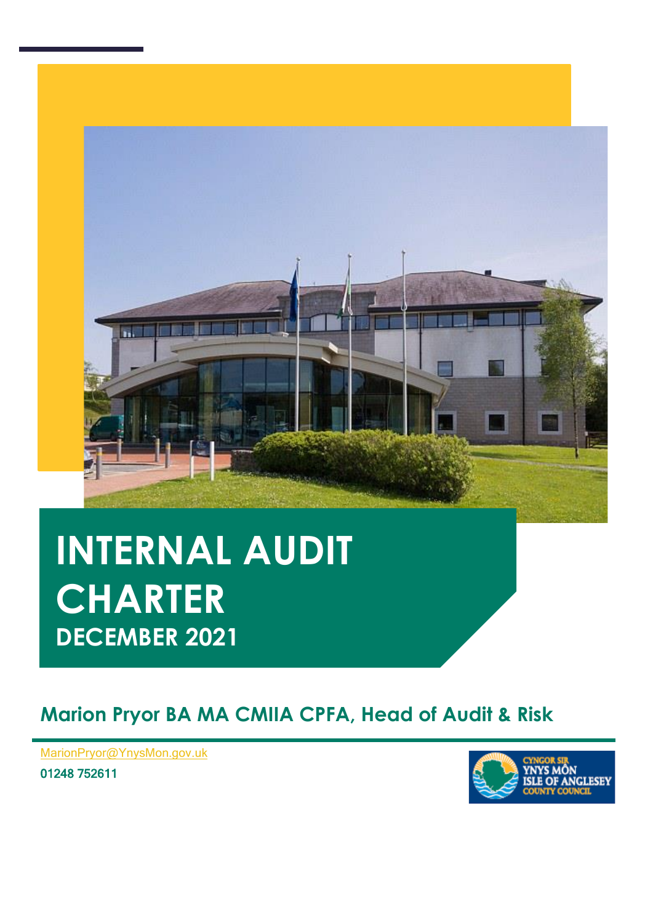

# **INTERNAL AUDIT CHARTER DECEMBER 2021**

### **Marion Pryor BA MA CMIIA CPFA, Head of Audit & Risk**

**[, Head of Audit & Ris](mailto:MarionPryor@YnysMon.gov.uk)k** MarionPryor@YnysMon.gov.uk

01248 752611

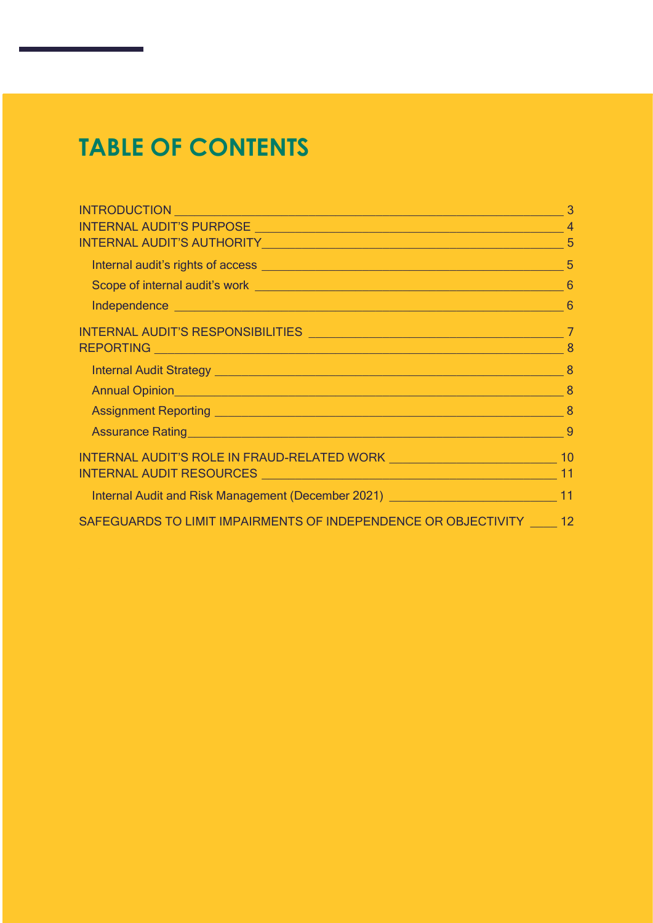# **TABLE OF CONTENTS**

| INTRODUCTION <b>And the contract of the contract of the contract of the contract of the contract of the contract of the contract of the contract of the contract of the contract of the contract of the contract of the contract</b> | 3  |
|--------------------------------------------------------------------------------------------------------------------------------------------------------------------------------------------------------------------------------------|----|
|                                                                                                                                                                                                                                      |    |
| INTERNAL AUDIT'S AUTHORITY NAME AND THE STATE OF STATE AND THE STATE OF STATE AND THE STATE OF STATE OF STATE O                                                                                                                      |    |
|                                                                                                                                                                                                                                      |    |
|                                                                                                                                                                                                                                      |    |
|                                                                                                                                                                                                                                      | -6 |
|                                                                                                                                                                                                                                      |    |
|                                                                                                                                                                                                                                      |    |
|                                                                                                                                                                                                                                      |    |
|                                                                                                                                                                                                                                      |    |
|                                                                                                                                                                                                                                      |    |
|                                                                                                                                                                                                                                      |    |
| INTERNAL AUDIT'S ROLE IN FRAUD-RELATED WORK NARRA MARK NAME AND 10                                                                                                                                                                   |    |
|                                                                                                                                                                                                                                      |    |
| Internal Audit and Risk Management (December 2021) ______________________________11                                                                                                                                                  |    |
| SAFEGUARDS TO LIMIT IMPAIRMENTS OF INDEPENDENCE OR OBJECTIVITY 12                                                                                                                                                                    |    |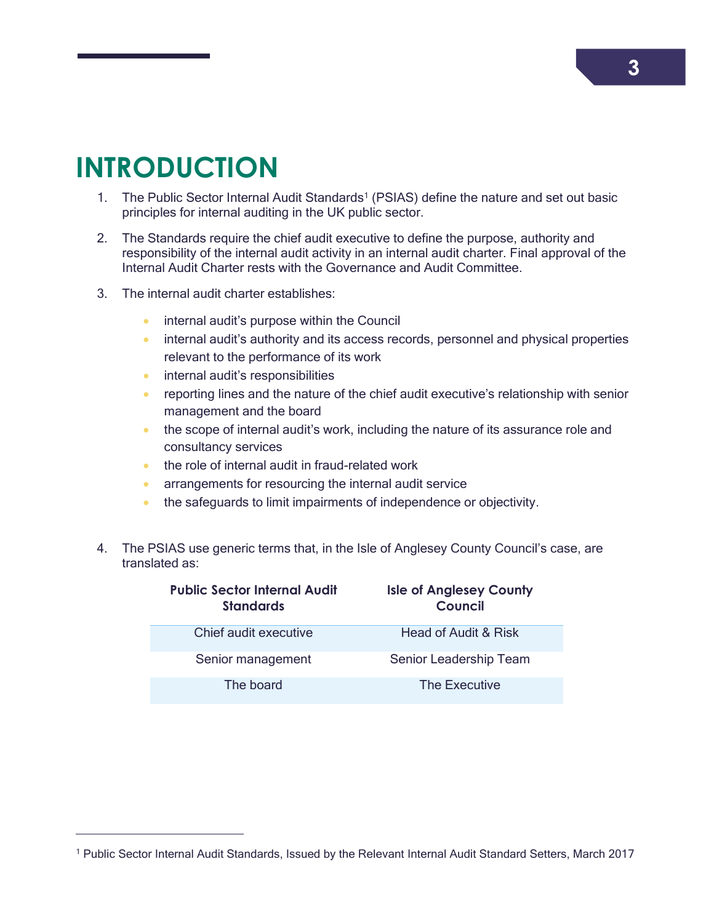### <span id="page-3-0"></span>**INTRODUCTION**

 $\overline{a}$ 

- 1. The Public Sector Internal Audit Standards<sup>1</sup> (PSIAS) define the nature and set out basic principles for internal auditing in the UK public sector.
- 2. The Standards require the chief audit executive to define the purpose, authority and responsibility of the internal audit activity in an internal audit charter. Final approval of the Internal Audit Charter rests with the Governance and Audit Committee.
- 3. The internal audit charter establishes:
	- **•** internal audit's purpose within the Council
	- **•** internal audit's authority and its access records, personnel and physical properties relevant to the performance of its work
	- **•** internal audit's responsibilities
	- **•** reporting lines and the nature of the chief audit executive's relationship with senior management and the board
	- the scope of internal audit's work, including the nature of its assurance role and consultancy services
	- the role of internal audit in fraud-related work
	- **arrangements for resourcing the internal audit service**
	- the safeguards to limit impairments of independence or objectivity.
- 4. The PSIAS use generic terms that, in the Isle of Anglesey County Council's case, are translated as:

| <b>Public Sector Internal Audit</b><br><b>Standards</b> | <b>Isle of Anglesey County</b><br>Council |
|---------------------------------------------------------|-------------------------------------------|
| Chief audit executive                                   | <b>Head of Audit &amp; Risk</b>           |
| Senior management                                       | Senior Leadership Team                    |
| The board                                               | The Executive                             |

<sup>1</sup> Public Sector Internal Audit Standards, Issued by the Relevant Internal Audit Standard Setters, March 2017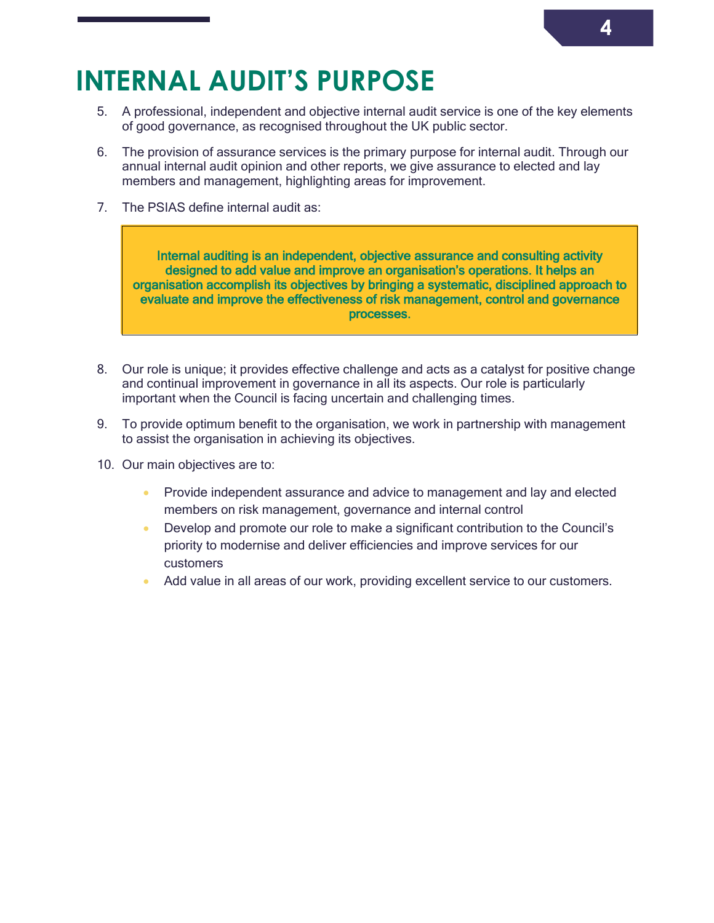### **INTERNAL AUDIT'S PURPOSE**

- <span id="page-4-0"></span>5. A professional, independent and objective internal audit service is one of the key elements of good governance, as recognised throughout the UK public sector.
- 6. The provision of assurance services is the primary purpose for internal audit. Through our annual internal audit opinion and other reports, we give assurance to elected and lay members and management, highlighting areas for improvement.
- 7. The PSIAS define internal audit as:

Internal auditing is an independent, objective assurance and consulting activity designed to add value and improve an organisation's operations. It helps an organisation accomplish its objectives by bringing a systematic, disciplined approach to evaluate and improve the effectiveness of risk management, control and governance processes.

- 8. Our role is unique; it provides effective challenge and acts as a catalyst for positive change and continual improvement in governance in all its aspects. Our role is particularly important when the Council is facing uncertain and challenging times.
- 9. To provide optimum benefit to the organisation, we work in partnership with management to assist the organisation in achieving its objectives.
- 10. Our main objectives are to:
	- **•** Provide independent assurance and advice to management and lay and elected members on risk management, governance and internal control
	- Develop and promote our role to make a significant contribution to the Council's priority to modernise and deliver efficiencies and improve services for our customers
	- Add value in all areas of our work, providing excellent service to our customers.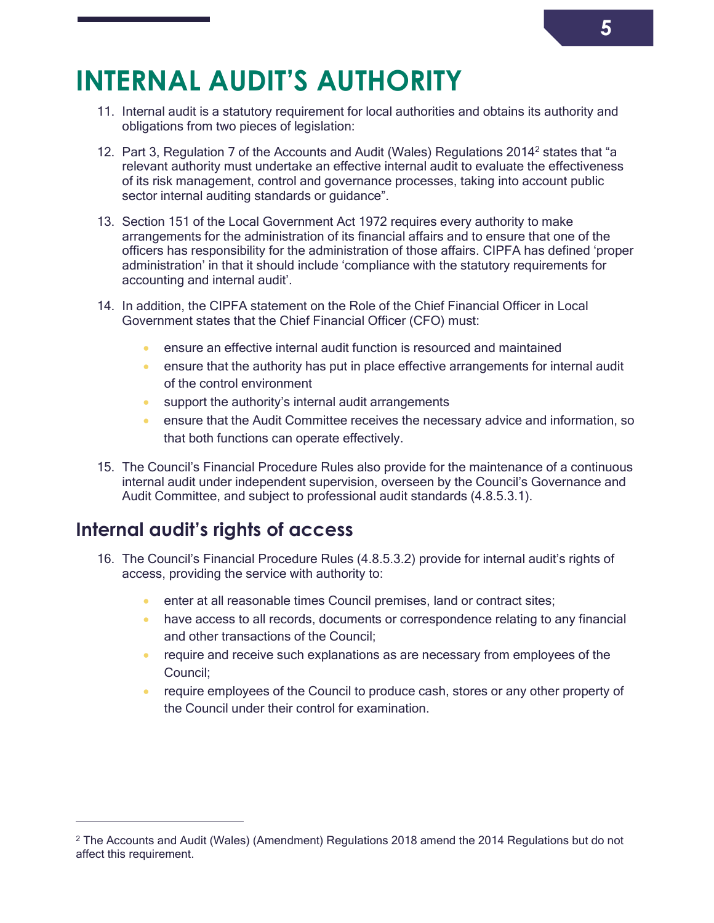### **INTERNAL AUDIT'S AUTHORITY**

- <span id="page-5-0"></span>11. Internal audit is a statutory requirement for local authorities and obtains its authority and obligations from two pieces of legislation:
- 12. Part 3, Regulation 7 of the Accounts and Audit (Wales) Regulations 2014<sup>2</sup> states that "a relevant authority must undertake an effective internal audit to evaluate the effectiveness of its risk management, control and governance processes, taking into account public sector internal auditing standards or guidance".
- 13. Section 151 of the Local Government Act 1972 requires every authority to make arrangements for the administration of its financial affairs and to ensure that one of the officers has responsibility for the administration of those affairs. CIPFA has defined 'proper administration' in that it should include 'compliance with the statutory requirements for accounting and internal audit'.
- 14. In addition, the CIPFA statement on the Role of the Chief Financial Officer in Local Government states that the Chief Financial Officer (CFO) must:
	- ensure an effective internal audit function is resourced and maintained
	- ensure that the authority has put in place effective arrangements for internal audit of the control environment
	- support the authority's internal audit arrangements
	- ensure that the Audit Committee receives the necessary advice and information, so that both functions can operate effectively.
- 15. The Council's Financial Procedure Rules also provide for the maintenance of a continuous internal audit under independent supervision, overseen by the Council's Governance and Audit Committee, and subject to professional audit standards (4.8.5.3.1).

#### **Internal audit's rights of access**

 $\overline{a}$ 

- <span id="page-5-1"></span>16. The Council's Financial Procedure Rules (4.8.5.3.2) provide for internal audit's rights of access, providing the service with authority to:
	- **enter at all reasonable times Council premises, land or contract sites;**
	- have access to all records, documents or correspondence relating to any financial and other transactions of the Council;
	- require and receive such explanations as are necessary from employees of the Council;
	- require employees of the Council to produce cash, stores or any other property of the Council under their control for examination.

<sup>&</sup>lt;sup>2</sup> The Accounts and Audit (Wales) (Amendment) Regulations 2018 amend the 2014 Regulations but do not affect this requirement.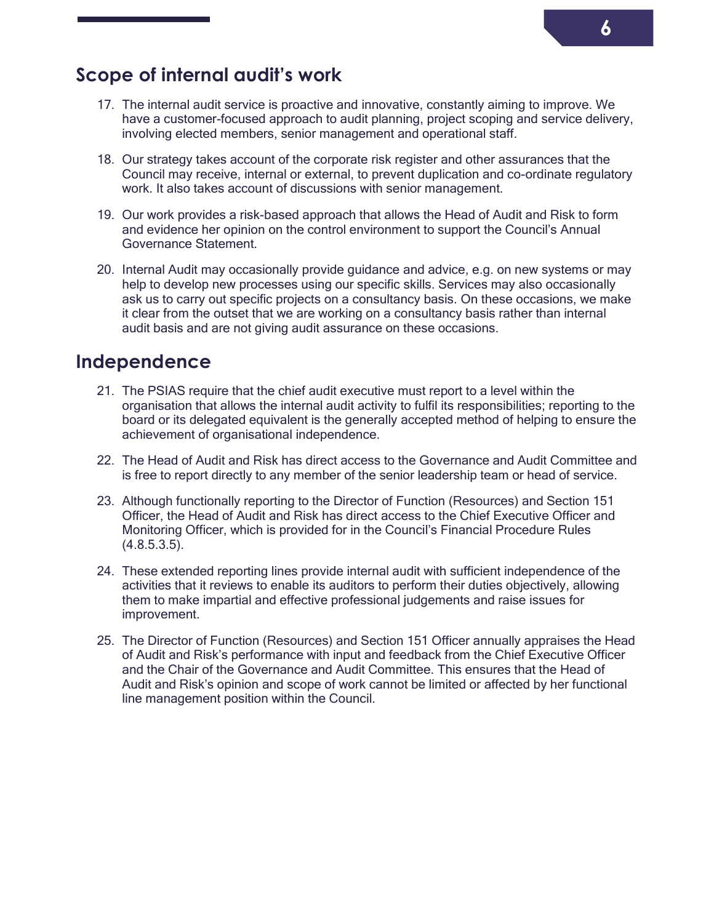#### **Scope of internal audit's work**

- <span id="page-6-0"></span>17. The internal audit service is proactive and innovative, constantly aiming to improve. We have a customer-focused approach to audit planning, project scoping and service delivery, involving elected members, senior management and operational staff.
- 18. Our strategy takes account of the corporate risk register and other assurances that the Council may receive, internal or external, to prevent duplication and co-ordinate regulatory work. It also takes account of discussions with senior management.
- 19. Our work provides a risk-based approach that allows the Head of Audit and Risk to form and evidence her opinion on the control environment to support the Council's Annual Governance Statement.
- 20. Internal Audit may occasionally provide guidance and advice, e.g. on new systems or may help to develop new processes using our specific skills. Services may also occasionally ask us to carry out specific projects on a consultancy basis. On these occasions, we make it clear from the outset that we are working on a consultancy basis rather than internal audit basis and are not giving audit assurance on these occasions.

#### **Independence**

- <span id="page-6-1"></span>21. The PSIAS require that the chief audit executive must report to a level within the organisation that allows the internal audit activity to fulfil its responsibilities; reporting to the board or its delegated equivalent is the generally accepted method of helping to ensure the achievement of organisational independence.
- 22. The Head of Audit and Risk has direct access to the Governance and Audit Committee and is free to report directly to any member of the senior leadership team or head of service.
- 23. Although functionally reporting to the Director of Function (Resources) and Section 151 Officer, the Head of Audit and Risk has direct access to the Chief Executive Officer and Monitoring Officer, which is provided for in the Council's Financial Procedure Rules  $(4.8.5.3.5)$ .
- 24. These extended reporting lines provide internal audit with sufficient independence of the activities that it reviews to enable its auditors to perform their duties objectively, allowing them to make impartial and effective professional judgements and raise issues for improvement.
- 25. The Director of Function (Resources) and Section 151 Officer annually appraises the Head of Audit and Risk's performance with input and feedback from the Chief Executive Officer and the Chair of the Governance and Audit Committee. This ensures that the Head of Audit and Risk's opinion and scope of work cannot be limited or affected by her functional line management position within the Council.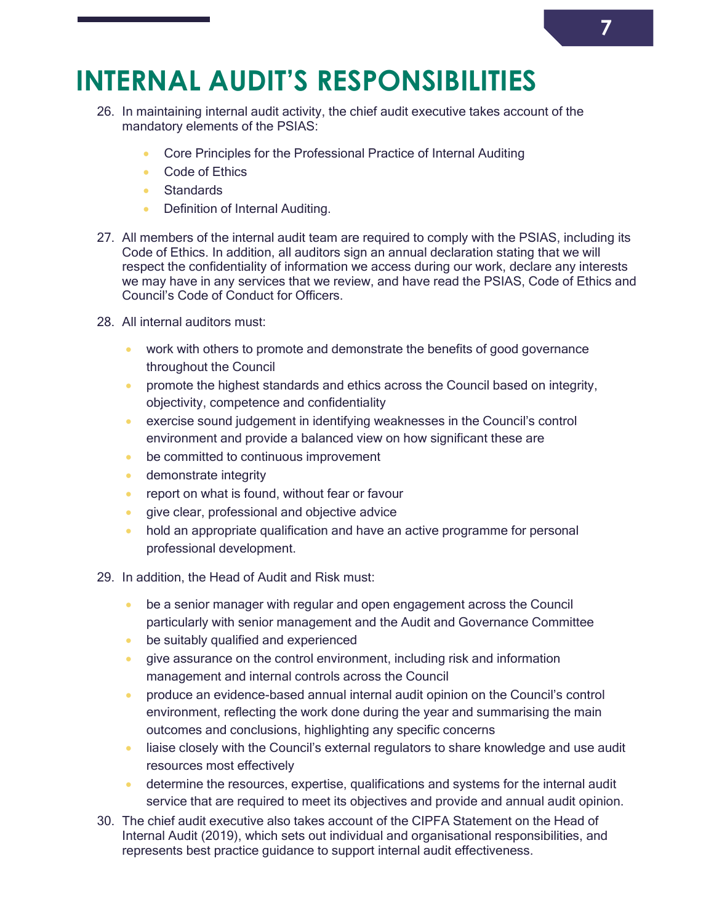### **INTERNAL AUDIT'S RESPONSIBILITIES**

- <span id="page-7-0"></span>26. In maintaining internal audit activity, the chief audit executive takes account of the mandatory elements of the PSIAS:
	- Core Principles for the Professional Practice of Internal Auditing
	- Code of Ethics
	- Standards
	- Definition of Internal Auditing.
- 27. All members of the internal audit team are required to comply with the PSIAS, including its Code of Ethics. In addition, all auditors sign an annual declaration stating that we will respect the confidentiality of information we access during our work, declare any interests we may have in any services that we review, and have read the PSIAS, Code of Ethics and Council's Code of Conduct for Officers.
- 28. All internal auditors must:
	- work with others to promote and demonstrate the benefits of good governance throughout the Council
	- **•** promote the highest standards and ethics across the Council based on integrity, objectivity, competence and confidentiality
	- **EXECT** exercise sound judgement in identifying weaknesses in the Council's control environment and provide a balanced view on how significant these are
	- **be committed to continuous improvement**
	- **demonstrate integrity**
	- **•** report on what is found, without fear or favour
	- **give clear, professional and objective advice**
	- hold an appropriate qualification and have an active programme for personal professional development.
- 29. In addition, the Head of Audit and Risk must:
	- be a senior manager with regular and open engagement across the Council particularly with senior management and the Audit and Governance Committee
	- **be suitably qualified and experienced**
	- give assurance on the control environment, including risk and information management and internal controls across the Council
	- produce an evidence-based annual internal audit opinion on the Council's control environment, reflecting the work done during the year and summarising the main outcomes and conclusions, highlighting any specific concerns
	- liaise closely with the Council's external regulators to share knowledge and use audit resources most effectively
	- determine the resources, expertise, qualifications and systems for the internal audit service that are required to meet its objectives and provide and annual audit opinion.
- 30. The chief audit executive also takes account of the CIPFA Statement on the Head of Internal Audit (2019), which sets out individual and organisational responsibilities, and represents best practice guidance to support internal audit effectiveness.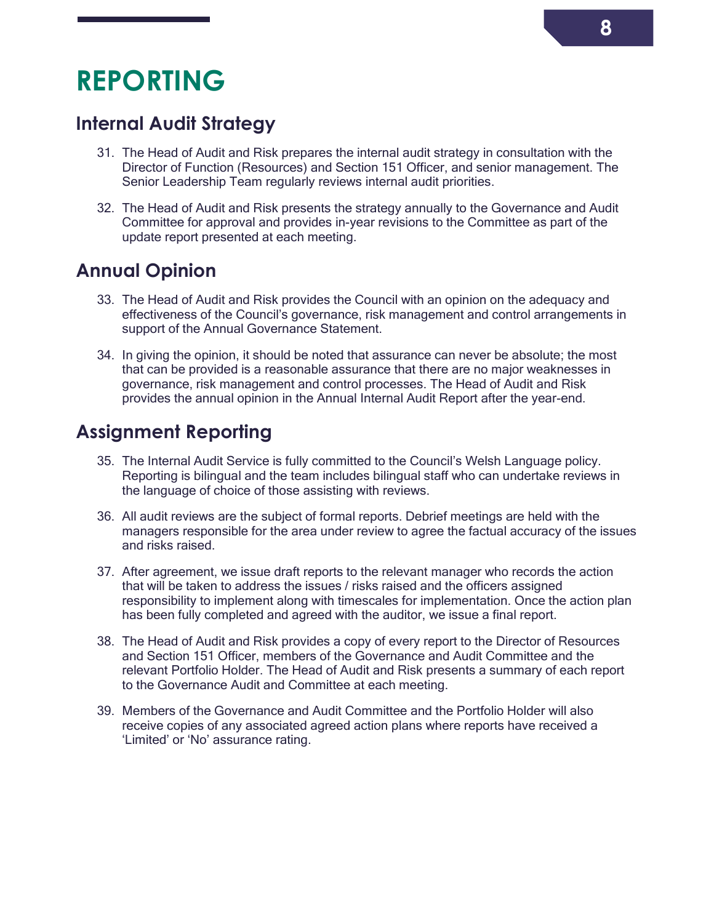### **REPORTING**

#### <span id="page-8-0"></span>**Internal Audit Strategy**

- <span id="page-8-1"></span>31. The Head of Audit and Risk prepares the internal audit strategy in consultation with the Director of Function (Resources) and Section 151 Officer, and senior management. The Senior Leadership Team regularly reviews internal audit priorities.
- 32. The Head of Audit and Risk presents the strategy annually to the Governance and Audit Committee for approval and provides in-year revisions to the Committee as part of the update report presented at each meeting.

#### **Annual Opinion**

- <span id="page-8-2"></span>33. The Head of Audit and Risk provides the Council with an opinion on the adequacy and effectiveness of the Council's governance, risk management and control arrangements in support of the Annual Governance Statement.
- 34. In giving the opinion, it should be noted that assurance can never be absolute; the most that can be provided is a reasonable assurance that there are no major weaknesses in governance, risk management and control processes. The Head of Audit and Risk provides the annual opinion in the Annual Internal Audit Report after the year-end.

#### **Assignment Reporting**

- <span id="page-8-3"></span>35. The Internal Audit Service is fully committed to the Council's Welsh Language policy. Reporting is bilingual and the team includes bilingual staff who can undertake reviews in the language of choice of those assisting with reviews.
- 36. All audit reviews are the subject of formal reports. Debrief meetings are held with the managers responsible for the area under review to agree the factual accuracy of the issues and risks raised.
- 37. After agreement, we issue draft reports to the relevant manager who records the action that will be taken to address the issues / risks raised and the officers assigned responsibility to implement along with timescales for implementation. Once the action plan has been fully completed and agreed with the auditor, we issue a final report.
- 38. The Head of Audit and Risk provides a copy of every report to the Director of Resources and Section 151 Officer, members of the Governance and Audit Committee and the relevant Portfolio Holder. The Head of Audit and Risk presents a summary of each report to the Governance Audit and Committee at each meeting.
- 39. Members of the Governance and Audit Committee and the Portfolio Holder will also receive copies of any associated agreed action plans where reports have received a 'Limited' or 'No' assurance rating.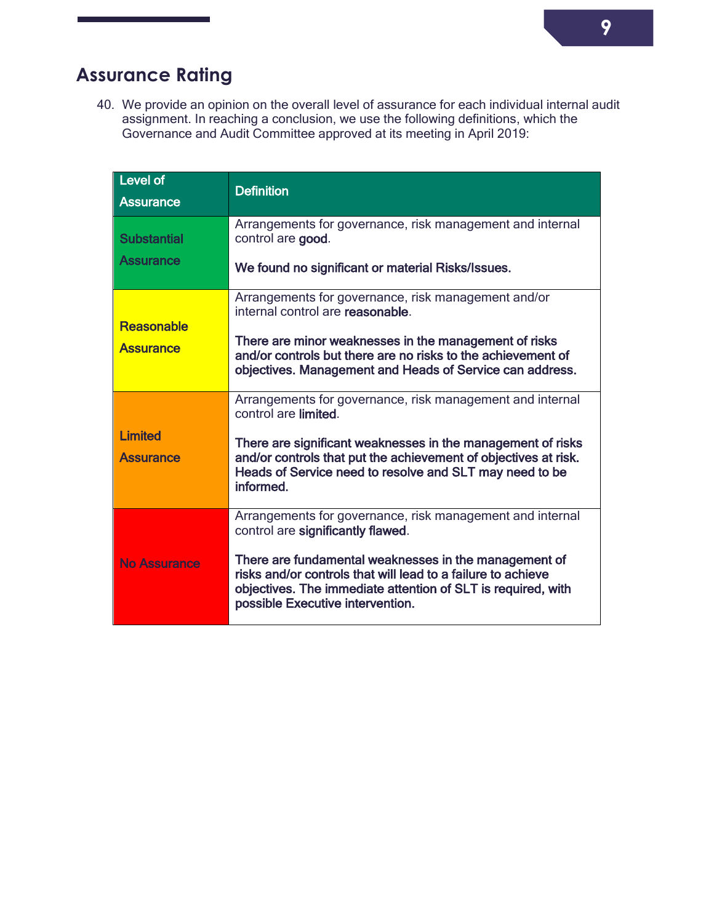### **Assurance Rating**

<span id="page-9-0"></span>40. We provide an opinion on the overall level of assurance for each individual internal audit assignment. In reaching a conclusion, we use the following definitions, which the Governance and Audit Committee approved at its meeting in April 2019:

| <b>Level of</b><br><b>Assurance</b>    | <b>Definition</b>                                                                                                                                                                                                                                                                                                           |
|----------------------------------------|-----------------------------------------------------------------------------------------------------------------------------------------------------------------------------------------------------------------------------------------------------------------------------------------------------------------------------|
| <b>Substantial</b><br><b>Assurance</b> | Arrangements for governance, risk management and internal<br>control are good.<br>We found no significant or material Risks/Issues.                                                                                                                                                                                         |
| <b>Reasonable</b><br><b>Assurance</b>  | Arrangements for governance, risk management and/or<br>internal control are reasonable.<br>There are minor weaknesses in the management of risks<br>and/or controls but there are no risks to the achievement of<br>objectives. Management and Heads of Service can address.                                                |
| <b>Limited</b><br><b>Assurance</b>     | Arrangements for governance, risk management and internal<br>control are limited.<br>There are significant weaknesses in the management of risks<br>and/or controls that put the achievement of objectives at risk.<br>Heads of Service need to resolve and SLT may need to be<br>informed.                                 |
| No Assurance                           | Arrangements for governance, risk management and internal<br>control are significantly flawed.<br>There are fundamental weaknesses in the management of<br>risks and/or controls that will lead to a failure to achieve<br>objectives. The immediate attention of SLT is required, with<br>possible Executive intervention. |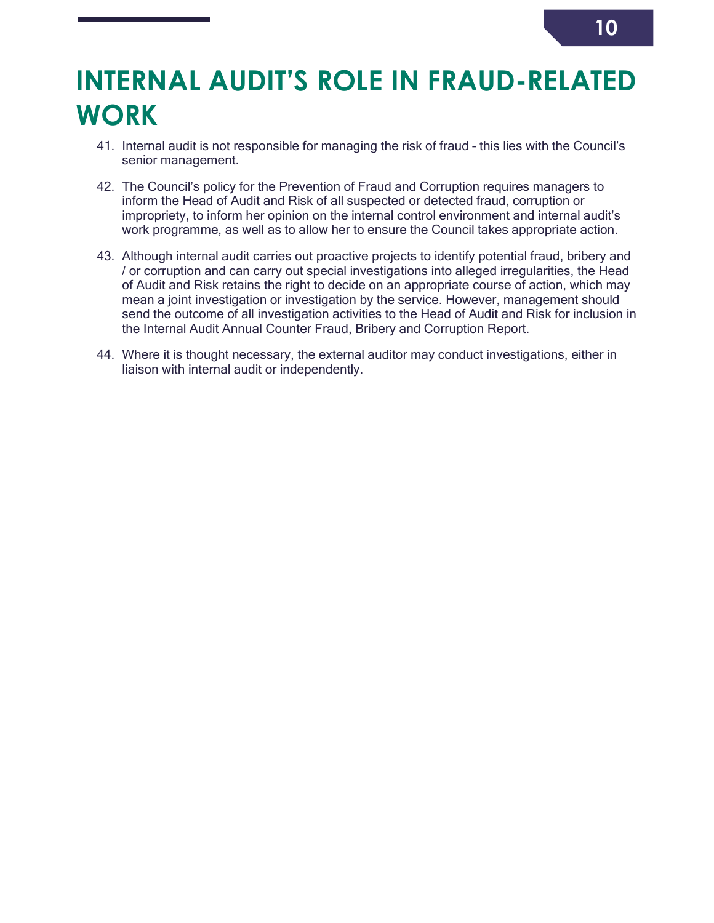### **INTERNAL AUDIT'S ROLE IN FRAUD-RELATED WORK**

- <span id="page-10-0"></span>41. Internal audit is not responsible for managing the risk of fraud – this lies with the Council's senior management.
- 42. The Council's policy for the Prevention of Fraud and Corruption requires managers to inform the Head of Audit and Risk of all suspected or detected fraud, corruption or impropriety, to inform her opinion on the internal control environment and internal audit's work programme, as well as to allow her to ensure the Council takes appropriate action.
- 43. Although internal audit carries out proactive projects to identify potential fraud, bribery and / or corruption and can carry out special investigations into alleged irregularities, the Head of Audit and Risk retains the right to decide on an appropriate course of action, which may mean a joint investigation or investigation by the service. However, management should send the outcome of all investigation activities to the Head of Audit and Risk for inclusion in the Internal Audit Annual Counter Fraud, Bribery and Corruption Report.
- 44. Where it is thought necessary, the external auditor may conduct investigations, either in liaison with internal audit or independently.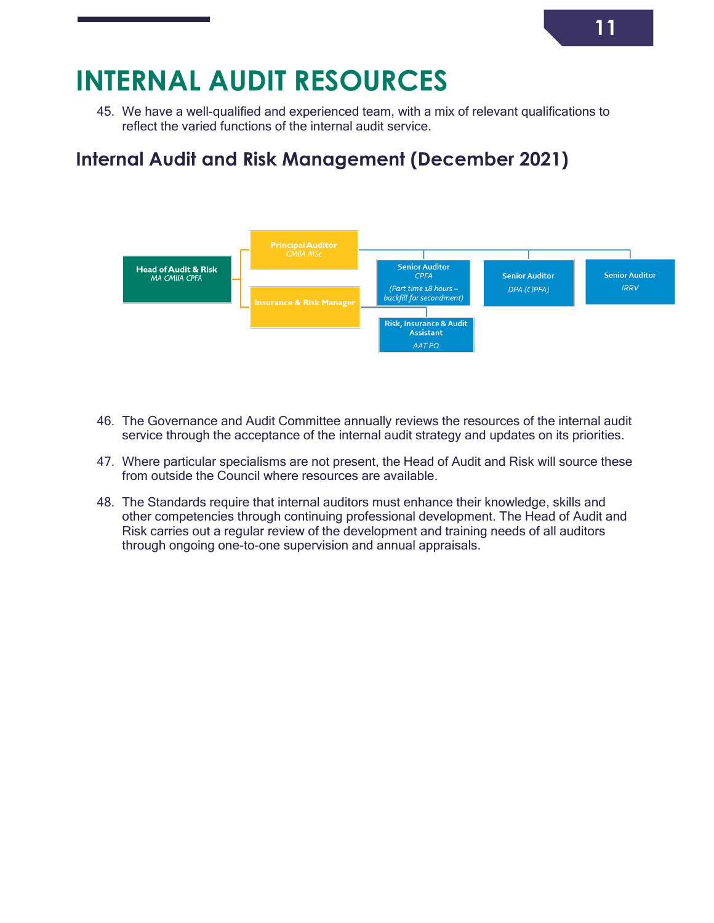### **INTERNAL AUDIT RESOURCES**

<span id="page-11-0"></span>45. We have a well-qualified and experienced team, with a mix of relevant qualifications to reflect the varied functions of the internal audit service.

### **Internal Audit and Risk Management (December 2021)**

<span id="page-11-1"></span>

- 46. The Governance and Audit Committee annually reviews the resources of the internal audit service through the acceptance of the internal audit strategy and updates on its priorities.
- 47. Where particular specialisms are not present, the Head of Audit and Risk will source these from outside the Council where resources are available.
- 48. The Standards require that internal auditors must enhance their knowledge, skills and other competencies through continuing professional development. The Head of Audit and Risk carries out a regular review of the development and training needs of all auditors through ongoing one-to-one supervision and annual appraisals.